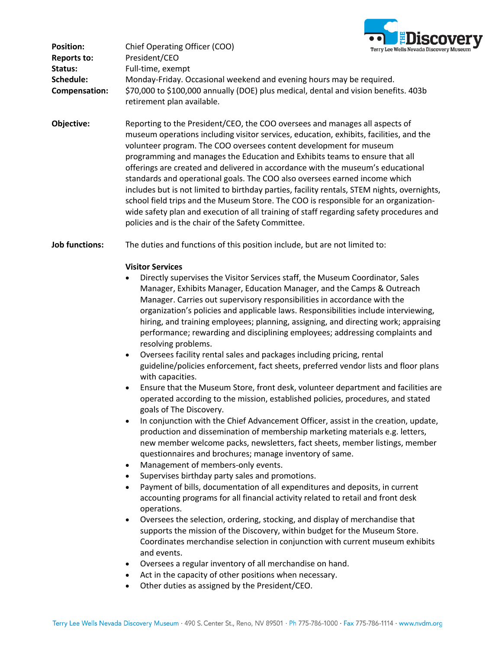

| <b>Position:</b> | Chief Operating Officer (COO)                                                                                     | .<br>Terry Lee Wells Nevada Di |
|------------------|-------------------------------------------------------------------------------------------------------------------|--------------------------------|
| Reports to:      | President/CEO                                                                                                     |                                |
| Status:          | Full-time, exempt                                                                                                 |                                |
| Schedule:        | Monday-Friday. Occasional weekend and evening hours may be required.                                              |                                |
| Compensation:    | \$70,000 to \$100,000 annually (DOE) plus medical, dental and vision benefits. 403b<br>retirement plan available. |                                |

- **Objective:** Reporting to the President/CEO, the COO oversees and manages all aspects of museum operations including visitor services, education, exhibits, facilities, and the volunteer program. The COO oversees content development for museum programming and manages the Education and Exhibits teams to ensure that all offerings are created and delivered in accordance with the museum's educational standards and operational goals. The COO also oversees earned income which includes but is not limited to birthday parties, facility rentals, STEM nights, overnights, school field trips and the Museum Store. The COO is responsible for an organizationwide safety plan and execution of all training of staff regarding safety procedures and policies and is the chair of the Safety Committee.
- **Job functions:** The duties and functions of this position include, but are not limited to:

## **Visitor Services**

- Directly supervises the Visitor Services staff, the Museum Coordinator, Sales Manager, Exhibits Manager, Education Manager, and the Camps & Outreach Manager. Carries out supervisory responsibilities in accordance with the organization's policies and applicable laws. Responsibilities include interviewing, hiring, and training employees; planning, assigning, and directing work; appraising performance; rewarding and disciplining employees; addressing complaints and resolving problems.
- Oversees facility rental sales and packages including pricing, rental guideline/policies enforcement, fact sheets, preferred vendor lists and floor plans with capacities.
- Ensure that the Museum Store, front desk, volunteer department and facilities are operated according to the mission, established policies, procedures, and stated goals of The Discovery.
- In conjunction with the Chief Advancement Officer, assist in the creation, update, production and dissemination of membership marketing materials e.g. letters, new member welcome packs, newsletters, fact sheets, member listings, member questionnaires and brochures; manage inventory of same.
- Management of members-only events.
- Supervises birthday party sales and promotions.
- Payment of bills, documentation of all expenditures and deposits, in current accounting programs for all financial activity related to retail and front desk operations.
- Oversees the selection, ordering, stocking, and display of merchandise that supports the mission of the Discovery, within budget for the Museum Store. Coordinates merchandise selection in conjunction with current museum exhibits and events.
- Oversees a regular inventory of all merchandise on hand.
- Act in the capacity of other positions when necessary.
- Other duties as assigned by the President/CEO.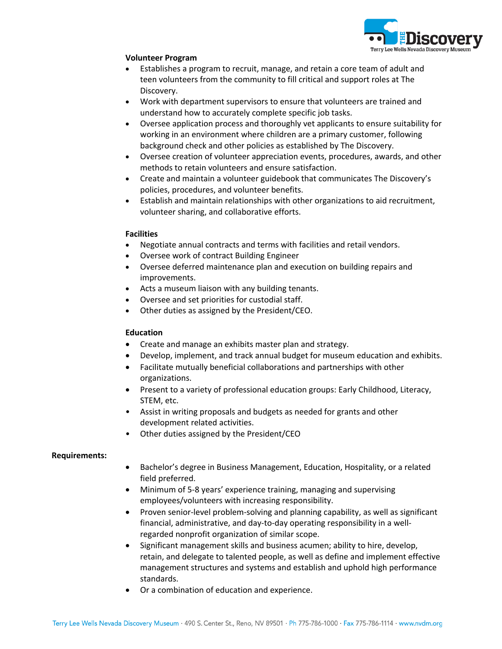

# **Volunteer Program**

- Establishes a program to recruit, manage, and retain a core team of adult and teen volunteers from the community to fill critical and support roles at The Discovery.
- Work with department supervisors to ensure that volunteers are trained and understand how to accurately complete specific job tasks.
- Oversee application process and thoroughly vet applicants to ensure suitability for working in an environment where children are a primary customer, following background check and other policies as established by The Discovery.
- Oversee creation of volunteer appreciation events, procedures, awards, and other methods to retain volunteers and ensure satisfaction.
- Create and maintain a volunteer guidebook that communicates The Discovery's policies, procedures, and volunteer benefits.
- Establish and maintain relationships with other organizations to aid recruitment, volunteer sharing, and collaborative efforts.

## **Facilities**

- Negotiate annual contracts and terms with facilities and retail vendors.
- Oversee work of contract Building Engineer
- Oversee deferred maintenance plan and execution on building repairs and improvements.
- Acts a museum liaison with any building tenants.
- Oversee and set priorities for custodial staff.
- Other duties as assigned by the President/CEO.

## **Education**

- Create and manage an exhibits master plan and strategy.
- Develop, implement, and track annual budget for museum education and exhibits.
- Facilitate mutually beneficial collaborations and partnerships with other organizations.
- Present to a variety of professional education groups: Early Childhood, Literacy, STEM, etc.
- Assist in writing proposals and budgets as needed for grants and other development related activities.
- Other duties assigned by the President/CEO

## **Requirements:**

- Bachelor's degree in Business Management, Education, Hospitality, or a related field preferred.
- Minimum of 5-8 years' experience training, managing and supervising employees/volunteers with increasing responsibility.
- Proven senior-level problem-solving and planning capability, as well as significant financial, administrative, and day-to-day operating responsibility in a wellregarded nonprofit organization of similar scope.
- Significant management skills and business acumen; ability to hire, develop, retain, and delegate to talented people, as well as define and implement effective management structures and systems and establish and uphold high performance standards.
- Or a combination of education and experience.